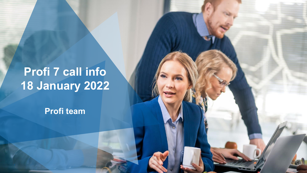# **Profi 7 call info 18 January 2022**

**Profi team**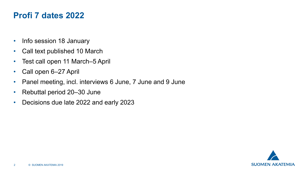#### **Profi 7 dates 2022**

- Info session 18 January
- Call text published 10 March
- Test call open 11 March–5 April
- Call open 6–27 April
- Panel meeting, incl. interviews 6 June, 7 June and 9 June
- Rebuttal period 20–30 June
- Decisions due late 2022 and early 2023

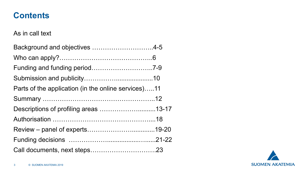#### **Contents**

#### As in call text

| Background and objectives 4-5                       |  |
|-----------------------------------------------------|--|
|                                                     |  |
|                                                     |  |
|                                                     |  |
| Parts of the application (in the online services)11 |  |
|                                                     |  |
| Descriptions of profiling areas 13-17               |  |
|                                                     |  |
|                                                     |  |
|                                                     |  |
|                                                     |  |

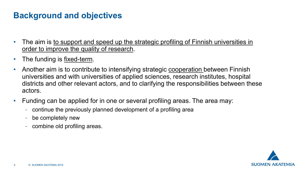# **Background and objectives**

- The aim is to support and speed up the strategic profiling of Finnish universities in order to improve the quality of research.
- The funding is <u>fixed-term</u>.
- Another aim is to contribute to intensifying strategic cooperation between Finnish universities and with universities of applied sciences, research institutes, hospital districts and other relevant actors, and to clarifying the responsibilities between these actors.
- Funding can be applied for in one or several profiling areas. The area may:
	- continue the previously planned development of a profiling area
	- be completely new
	- combine old profiling areas.

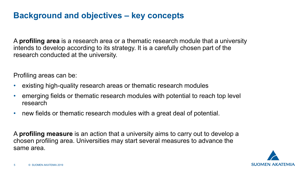## **Background and objectives – key concepts**

A **profiling area** is a research area or a thematic research module that a university intends to develop according to its strategy. It is a carefully chosen part of the research conducted at the university.

Profiling areas can be:

- existing high-quality research areas or thematic research modules
- emerging fields or thematic research modules with potential to reach top level research
- new fields or thematic research modules with a great deal of potential.

A **profiling measure** is an action that a university aims to carry out to develop a chosen profiling area. Universities may start several measures to advance the same area.

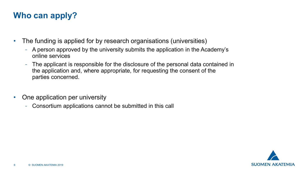# **Who can apply?**

- The funding is applied for by research organisations (universities)
	- A person approved by the university submits the application in the Academy's online services
	- The applicant is responsible for the disclosure of the personal data contained in the application and, where appropriate, for requesting the consent of the parties concerned.
- One application per university
	- Consortium applications cannot be submitted in this call

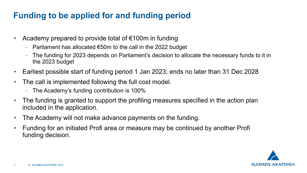# **Funding to be applied for and funding period**

- Academy prepared to provide total of €100m in funding
	- Parliament has allocated €50m to the call in the 2022 budget
	- The funding for 2023 depends on Parliament's decision to allocate the necessary funds to it in the 2023 budget
- Earliest possible start of funding period 1 Jan 2023; ends no later than 31 Dec 2028
- The call is implemented following the full cost model.
	- The Academy's funding contribution is 100%
- The funding is granted to support the profiling measures specified in the action plan included in the application.
- The Academy will not make advance payments on the funding.
- Funding for an initiated Profi area or measure may be continued by another Profi funding decision.

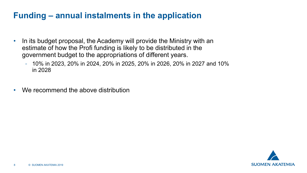# **Funding – annual instalments in the application**

- In its budget proposal, the Academy will provide the Ministry with an estimate of how the Profi funding is likely to be distributed in the government budget to the appropriations of different years.
	- 10% in 2023, 20% in 2024, 20% in 2025, 20% in 2026, 20% in 2027 and 10% in 2028
- We recommend the above distribution

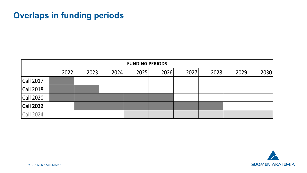# **Overlaps in funding periods**

| <b>FUNDING PERIODS</b> |      |      |      |      |      |      |      |      |      |  |
|------------------------|------|------|------|------|------|------|------|------|------|--|
|                        | 2022 | 2023 | 2024 | 2025 | 2026 | 2027 | 2028 | 2029 | 2030 |  |
| <b>Call 2017</b>       |      |      |      |      |      |      |      |      |      |  |
| <b>Call 2018</b>       |      |      |      |      |      |      |      |      |      |  |
| <b>Call 2020</b>       |      |      |      |      |      |      |      |      |      |  |
| <b>Call 2022</b>       |      |      |      |      |      |      |      |      |      |  |
| <b>Call 2024</b>       |      |      |      |      |      |      |      |      |      |  |

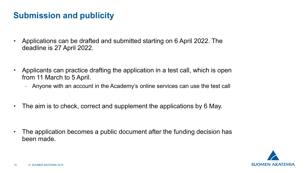# **Submission and publicity**

- Applications can be drafted and submitted starting on 6 April 2022. The deadline is 27 April 2022.
- Applicants can practice drafting the application in a test call, which is open from 11 March to 5 April.
	- Anyone with an account in the Academy's online services can use the test call
- The aim is to check, correct and supplement the applications by 6 May.

• The application becomes a public document after the funding decision has been made.

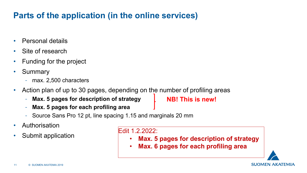# **Parts of the application (in the online services)**

- Personal details
- Site of research
- Funding for the project
- Summary
	- max. 2,500 characters
- Action plan of up to 30 pages, depending on the number of profiling areas
	- **Max. 5 pages for description of strategy**

**NB! This is new!**

- **Max. 5 pages for each profiling area**
- Source Sans Pro 12 pt, line spacing 1.15 and marginals 20 mm
- Authorisation
- Submit application

#### Edit 1.2.2022:

- **Max. 5 pages for description of strategy**
- **Max. 6 pages for each profiling area**

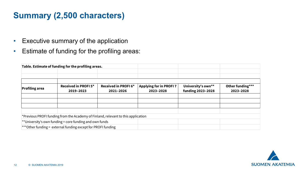# **Summary (2,500 characters)**

- Executive summary of the application
- Estimate of funding for the profiling areas:

|                       | Table. Estimate of funding for the profiling areas.                               |                                  |                                            |                                                |                               |
|-----------------------|-----------------------------------------------------------------------------------|----------------------------------|--------------------------------------------|------------------------------------------------|-------------------------------|
|                       |                                                                                   |                                  |                                            |                                                |                               |
|                       |                                                                                   |                                  |                                            |                                                |                               |
| <b>Profiling area</b> | Received in PROFI5*<br>2019-2023                                                  | Received in PROFI6*<br>2021-2026 | <b>Applying for in PROFI7</b><br>2023-2028 | University's own**<br><b>funding 2023-2028</b> | Other funding***<br>2023-2028 |
|                       |                                                                                   |                                  |                                            |                                                |                               |
|                       |                                                                                   |                                  |                                            |                                                |                               |
|                       |                                                                                   |                                  |                                            |                                                |                               |
|                       |                                                                                   |                                  |                                            |                                                |                               |
|                       | *Previous PROFI funding from the Academy of Finland, relevant to this application |                                  |                                            |                                                |                               |
|                       | ** University's own funding = core funding and own funds                          |                                  |                                            |                                                |                               |
|                       | *** Other funding = external funding except for PROFI funding                     |                                  |                                            |                                                |                               |

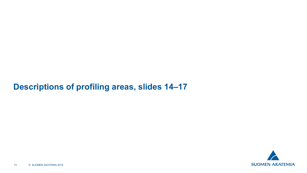#### **Descriptions of profiling areas, slides 14–17**

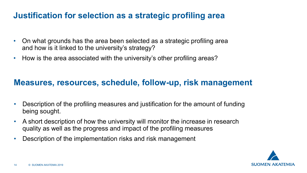# **Justification for selection as a strategic profiling area**

- On what grounds has the area been selected as a strategic profiling area and how is it linked to the university's strategy?
- How is the area associated with the university's other profiling areas?

#### **Measures, resources, schedule, follow-up, risk management**

- Description of the profiling measures and justification for the amount of funding being sought.
- A short description of how the university will monitor the increase in research quality as well as the progress and impact of the profiling measures
- Description of the implementation risks and risk management

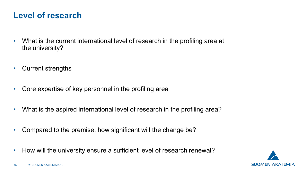## **Level of research**

- What is the current international level of research in the profiling area at the university?
- Current strengths
- Core expertise of key personnel in the profiling area
- What is the aspired international level of research in the profiling area?
- Compared to the premise, how significant will the change be?
- How will the university ensure a sufficient level of research renewal?

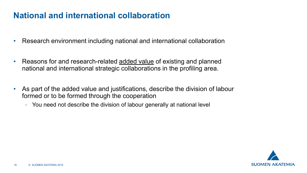## **National and international collaboration**

- Research environment including national and international collaboration
- Reasons for and research-related added value of existing and planned national and international strategic collaborations in the profiling area.
- As part of the added value and justifications, describe the division of labour formed or to be formed through the cooperation
	- You need not describe the division of labour generally at national level

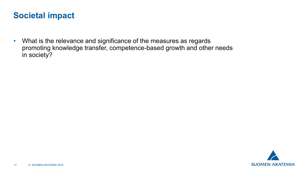#### **Societal impact**

• What is the relevance and significance of the measures as regards promoting knowledge transfer, competence-based growth and other needs in society?

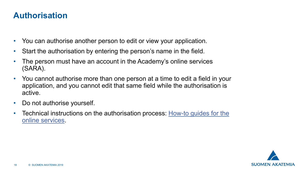## **Authorisation**

- You can authorise another person to edit or view your application.
- Start the authorisation by entering the person's name in the field.
- The person must have an account in the Academy's online services (SARA).
- You cannot authorise more than one person at a time to edit a field in your application, and you cannot edit that same field while the authorisation is active.
- Do not authorise yourself.
- Technical instructions on the authorisation process: How-to guides for the online services.

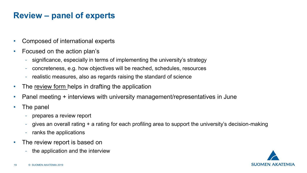# **Review – panel of experts**

- Composed of international experts
- Focused on the action plan's
	- significance, especially in terms of implementing the university's strategy
	- concreteness, e.g. how objectives will be reached, schedules, resources
	- realistic measures, also as regards raising the standard of science
- The review form helps in drafting the application
- Panel meeting + interviews with university management/representatives in June
- The panel
	- prepares a review report
	- gives an overall rating + a rating for each profiling area to support the university's decision-making
	- ranks the applications
- The review report is based on
	- the application and the interview

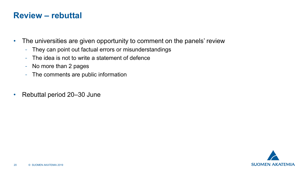#### **Review – rebuttal**

- The universities are given opportunity to comment on the panels' review
	- They can point out factual errors or misunderstandings
	- The idea is not to write a statement of defence
	- No more than 2 pages
	- The comments are public information
- Rebuttal period 20–30 June

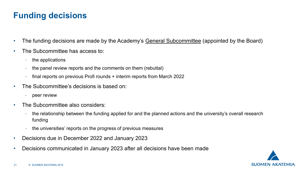# **Funding decisions**

- The funding decisions are made by the Academy's General Subcommittee (appointed by the Board)
- The Subcommittee has access to:
	- the applications
	- the panel review reports and the comments on them (rebuttal)
	- final reports on previous Profi rounds + interim reports from March 2022
- The Subcommittee's decisions is based on:
	- peer review
- The Subcommittee also considers:
	- the relationship between the funding applied for and the planned actions and the university's overall research funding
	- the universities' reports on the progress of previous measures
- Decisions due in December 2022 and January 2023
- Decisions communicated in January 2023 after all decisions have been made

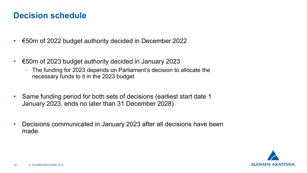#### **Decision schedule**

- €50m of 2022 budget authority decided in December 2022
- €50m of 2023 budget authority decided in January 2023
	- The funding for 2023 depends on Parliament's decision to allocate the necessary funds to it in the 2023 budget
- Same funding period for both sets of decisions (earliest start date 1 January 2023, ends no later than 31 December 2028)
- Decisions communicated in January 2023 after all decisions have been made

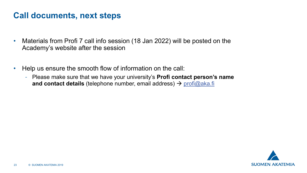#### **Call documents, next steps**

- Materials from Profi 7 call info session (18 Jan 2022) will be posted on the Academy's website after the session
- Help us ensure the smooth flow of information on the call:
	- Please make sure that we have your university's **Profi contact person's name and contact details** (telephone number, email address) → [profi@aka.fi](mailto:profi@aka.fi)